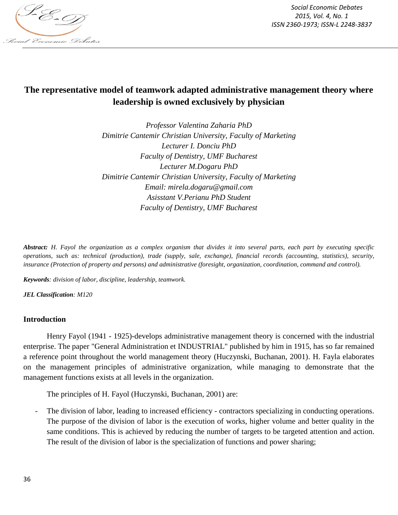

*Social Economic Debates 2015, Vol. 4, No. 1 ISSN 2360-1973; ISSN-L 2248-3837*

## **The representative model of teamwork adapted administrative management theory where leadership is owned exclusively by physician**

*Professor Valentina Zaharia PhD Dimitrie Cantemir Christian University, Faculty of Marketing Lecturer I. Donciu PhD Faculty of Dentistry, UMF Bucharest Lecturer M.Dogaru PhD Dimitrie Cantemir Christian University, Faculty of Marketing Email: mirela.dogaru@gmail.com Asisstant V.Perianu PhD Student Faculty of Dentistry, UMF Bucharest*

*Abstract: H. Fayol the organization as a complex organism that divides it into several parts, each part by executing specific operations, such as: technical (production), trade (supply, sale, exchange), financial records (accounting, statistics), security, insurance (Protection of property and persons) and administrative (foresight, organization, coordination, command and control).*

*Keywords: division of labor, discipline, leadership, teamwork.*

*JEL Classification: M120*

## **Introduction**

Henry Fayol (1941 - 1925)-develops administrative management theory is concerned with the industrial enterprise. The paper "General Administration et INDUSTRIAL" published by him in 1915, has so far remained a reference point throughout the world management theory (Huczynski, Buchanan, 2001). H. Fayla elaborates on the management principles of administrative organization, while managing to demonstrate that the management functions exists at all levels in the organization.

The principles of H. Fayol (Huczynski, Buchanan, 2001) are:

The division of labor, leading to increased efficiency - contractors specializing in conducting operations. The purpose of the division of labor is the execution of works, higher volume and better quality in the same conditions. This is achieved by reducing the number of targets to be targeted attention and action. The result of the division of labor is the specialization of functions and power sharing;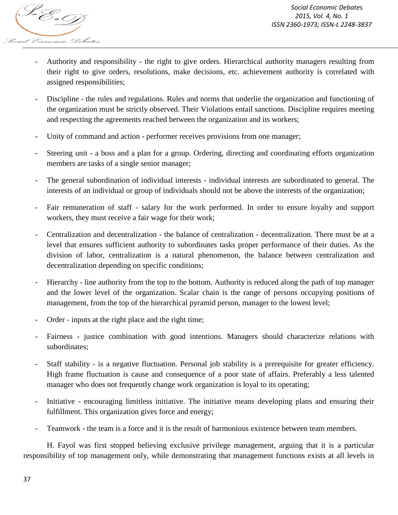

- Authority and responsibility the right to give orders. Hierarchical authority managers resulting from their right to give orders, resolutions, make decisions, etc. achievement authority is correlated with assigned responsibilities;
- Discipline the rules and regulations. Rules and norms that underlie the organization and functioning of the organization must be strictly observed. Their Violations entail sanctions. Discipline requires meeting and respecting the agreements reached between the organization and its workers;
- Unity of command and action performer receives provisions from one manager;
- Steering unit a boss and a plan for a group. Ordering, directing and coordinating efforts organization members are tasks of a single senior manager;
- The general subordination of individual interests individual interests are subordinated to general. The interests of an individual or group of individuals should not be above the interests of the organization;
- Fair remuneration of staff salary for the work performed. In order to ensure loyalty and support workers, they must receive a fair wage for their work;
- Centralization and decentralization the balance of centralization decentralization. There must be at a level that ensures sufficient authority to subordinates tasks proper performance of their duties. As the division of labor, centralization is a natural phenomenon, the balance between centralization and decentralization depending on specific conditions;
- Hierarchy line authority from the top to the bottom. Authority is reduced along the path of top manager and the lower level of the organization. Scalar chain is the range of persons occupying positions of management, from the top of the hierarchical pyramid person, manager to the lowest level;
- Order inputs at the right place and the right time;
- Fairness justice combination with good intentions. Managers should characterize relations with subordinates;
- Staff stability is a negative fluctuation. Personal job stability is a prerequisite for greater efficiency. High frame fluctuation is cause and consequence of a poor state of affairs. Preferably a less talented manager who does not frequently change work organization is loyal to its operating;
- Initiative encouraging limitless initiative. The initiative means developing plans and ensuring their fulfillment. This organization gives force and energy;
- Teamwork the team is a force and it is the result of harmonious existence between team members.

H. Fayol was first stopped believing exclusive privilege management, arguing that it is a particular responsibility of top management only, while demonstrating that management functions exists at all levels in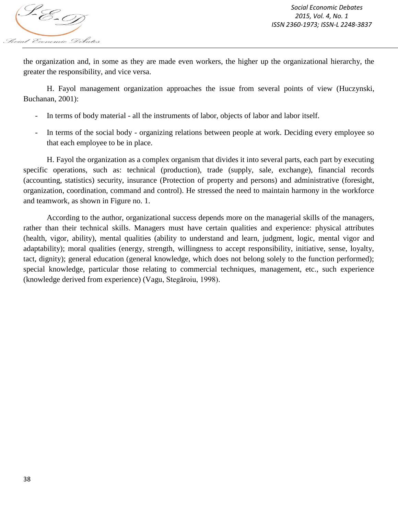

the organization and, in some as they are made even workers, the higher up the organizational hierarchy, the greater the responsibility, and vice versa.

H. Fayol management organization approaches the issue from several points of view (Huczynski, Buchanan, 2001):

- In terms of body material all the instruments of labor, objects of labor and labor itself.
- In terms of the social body organizing relations between people at work. Deciding every employee so that each employee to be in place.

H. Fayol the organization as a complex organism that divides it into several parts, each part by executing specific operations, such as: technical (production), trade (supply, sale, exchange), financial records (accounting, statistics) security, insurance (Protection of property and persons) and administrative (foresight, organization, coordination, command and control). He stressed the need to maintain harmony in the workforce and teamwork, as shown in Figure no. 1.

According to the author, organizational success depends more on the managerial skills of the managers, rather than their technical skills. Managers must have certain qualities and experience: physical attributes (health, vigor, ability), mental qualities (ability to understand and learn, judgment, logic, mental vigor and adaptability); moral qualities (energy, strength, willingness to accept responsibility, initiative, sense, loyalty, tact, dignity); general education (general knowledge, which does not belong solely to the function performed); special knowledge, particular those relating to commercial techniques, management, etc., such experience (knowledge derived from experience) (Vagu, Stegăroiu, 1998).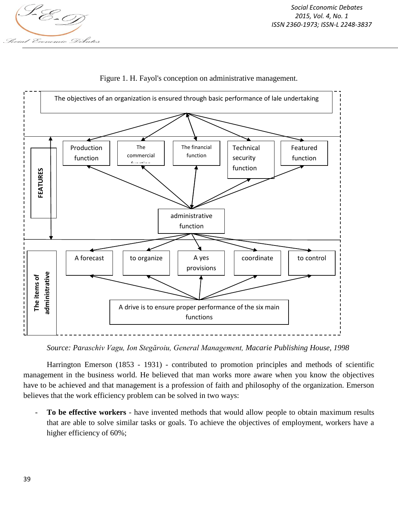



Figure 1. H. Fayol's conception on administrative management.

*Source: Paraschiv Vagu, Ion Stegăroiu, General Management, Macarie Publishing House, 1998*

Harrington Emerson (1853 - 1931) - contributed to promotion principles and methods of scientific management in the business world. He believed that man works more aware when you know the objectives have to be achieved and that management is a profession of faith and philosophy of the organization. Emerson believes that the work efficiency problem can be solved in two ways:

To be effective workers - have invented methods that would allow people to obtain maximum results that are able to solve similar tasks or goals. To achieve the objectives of employment, workers have a higher efficiency of 60%;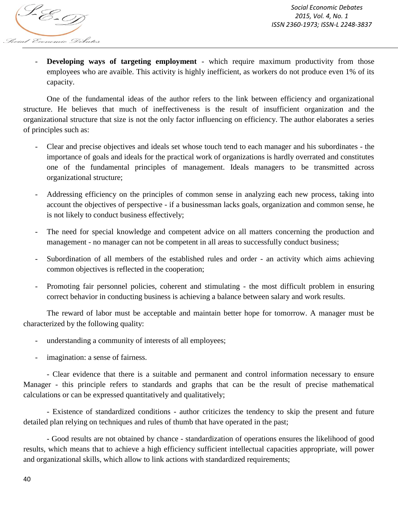

**Developing ways of targeting employment** - which require maximum productivity from those employees who are avaible. This activity is highly inefficient, as workers do not produce even 1% of its capacity.

One of the fundamental ideas of the author refers to the link between efficiency and organizational structure. He believes that much of ineffectiveness is the result of insufficient organization and the organizational structure that size is not the only factor influencing on efficiency. The author elaborates a series of principles such as:

- Clear and precise objectives and ideals set whose touch tend to each manager and his subordinates the importance of goals and ideals for the practical work of organizations is hardly overrated and constitutes one of the fundamental principles of management. Ideals managers to be transmitted across organizational structure;
- Addressing efficiency on the principles of common sense in analyzing each new process, taking into account the objectives of perspective - if a businessman lacks goals, organization and common sense, he is not likely to conduct business effectively;
- The need for special knowledge and competent advice on all matters concerning the production and management - no manager can not be competent in all areas to successfully conduct business;
- Subordination of all members of the established rules and order an activity which aims achieving common objectives is reflected in the cooperation;
- Promoting fair personnel policies, coherent and stimulating the most difficult problem in ensuring correct behavior in conducting business is achieving a balance between salary and work results.

The reward of labor must be acceptable and maintain better hope for tomorrow. A manager must be characterized by the following quality:

- understanding a community of interests of all employees;
- imagination: a sense of fairness.

- Clear evidence that there is a suitable and permanent and control information necessary to ensure Manager - this principle refers to standards and graphs that can be the result of precise mathematical calculations or can be expressed quantitatively and qualitatively;

- Existence of standardized conditions - author criticizes the tendency to skip the present and future detailed plan relying on techniques and rules of thumb that have operated in the past;

- Good results are not obtained by chance - standardization of operations ensures the likelihood of good results, which means that to achieve a high efficiency sufficient intellectual capacities appropriate, will power and organizational skills, which allow to link actions with standardized requirements;